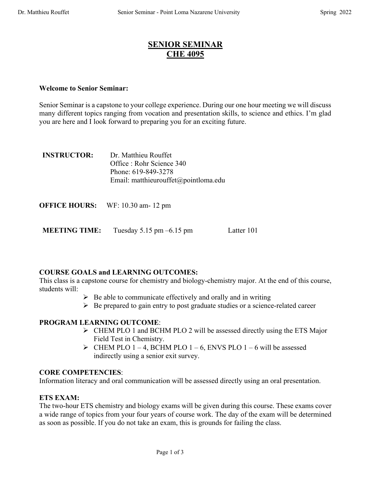## **SENIOR SEMINAR CHE 4095**

## **Welcome to Senior Seminar:**

Senior Seminar is a capstone to your college experience. During our one hour meeting we will discuss many different topics ranging from vocation and presentation skills, to science and ethics. I'm glad you are here and I look forward to preparing you for an exciting future.

| <b>INSTRUCTOR:</b> | Dr. Matthieu Rouffet                 |
|--------------------|--------------------------------------|
|                    | Office : Rohr Science 340            |
|                    | Phone: 619-849-3278                  |
|                    | Email: matthieurouffet@pointloma.edu |
|                    |                                      |

**MEETING TIME:** Tuesday 5.15 pm –6.15 pm

## **COURSE GOALS and LEARNING OUTCOMES:**

This class is a capstone course for chemistry and biology-chemistry major. At the end of this course, students will:

- $\triangleright$  Be able to communicate effectively and orally and in writing
- $\triangleright$  Be prepared to gain entry to post graduate studies or a science-related career

## **PROGRAM LEARNING OUTCOME**:

- $\triangleright$  CHEM PLO 1 and BCHM PLO 2 will be assessed directly using the ETS Major Field Test in Chemistry.
- $\triangleright$  CHEM PLO 1 4, BCHM PLO 1 6, ENVS PLO 1 6 will be assessed indirectly using a senior exit survey.

## **CORE COMPETENCIES**:

Information literacy and oral communication will be assessed directly using an oral presentation.

## **ETS EXAM:**

The two-hour ETS chemistry and biology exams will be given during this course. These exams cover a wide range of topics from your four years of course work. The day of the exam will be determined as soon as possible. If you do not take an exam, this is grounds for failing the class.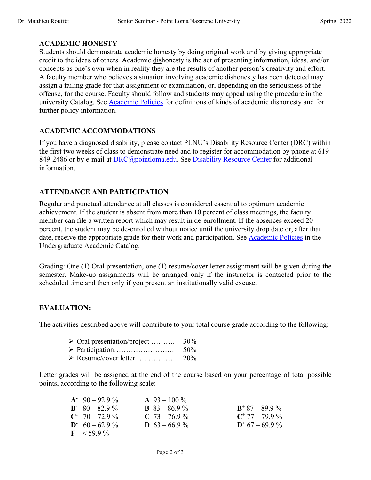#### **ACADEMIC HONESTY**

Students should demonstrate academic honesty by doing original work and by giving appropriate credit to the ideas of others. Academic dishonesty is the act of presenting information, ideas, and/or concepts as one's own when in reality they are the results of another person's creativity and effort. A faculty member who believes a situation involving academic dishonesty has been detected may assign a failing grade for that assignment or examination, or, depending on the seriousness of the offense, for the course. Faculty should follow and students may appeal using the procedure in the university Catalog. See Academic Policies for definitions of kinds of academic dishonesty and for further policy information.

#### **ACADEMIC ACCOMMODATIONS**

If you have a diagnosed disability, please contact PLNU's Disability Resource Center (DRC) within the first two weeks of class to demonstrate need and to register for accommodation by phone at 619- 849-2486 or by e-mail at DRC@pointloma.edu. See Disability Resource Center for additional information.

## **ATTENDANCE AND PARTICIPATION**

Regular and punctual attendance at all classes is considered essential to optimum academic achievement. If the student is absent from more than 10 percent of class meetings, the faculty member can file a written report which may result in de-enrollment. If the absences exceed 20 percent, the student may be de-enrolled without notice until the university drop date or, after that date, receive the appropriate grade for their work and participation. See Academic Policies in the Undergraduate Academic Catalog.

Grading: One (1) Oral presentation, one (1) resume/cover letter assignment will be given during the semester. Make-up assignments will be arranged only if the instructor is contacted prior to the scheduled time and then only if you present an institutionally valid excuse.

## **EVALUATION:**

The activities described above will contribute to your total course grade according to the following:

- $\triangleright$  Oral presentation/project .......... 30%
- Ø Participation……………………. 50%
- Ø Resume/cover letter.….………… 20%

Letter grades will be assigned at the end of the course based on your percentage of total possible points, according to the following scale:

| $A^2$ 90 – 92.9%   | $\mathbf{A}$ 93 – 100 % |                   |
|--------------------|-------------------------|-------------------|
| $B - 80 - 82.9 \%$ | <b>B</b> $83 - 86.9\%$  | $B^+$ 87 - 89.9 % |
| $C = 70 - 72.9 \%$ | $C$ 73 – 76.9 %         | $C^+$ 77 - 79.9 % |
| $D = 60 - 62.9 \%$ | <b>D</b> $63 - 66.9\%$  | $D^+$ 67 – 69.9 % |
| $F < 59.9\%$       |                         |                   |